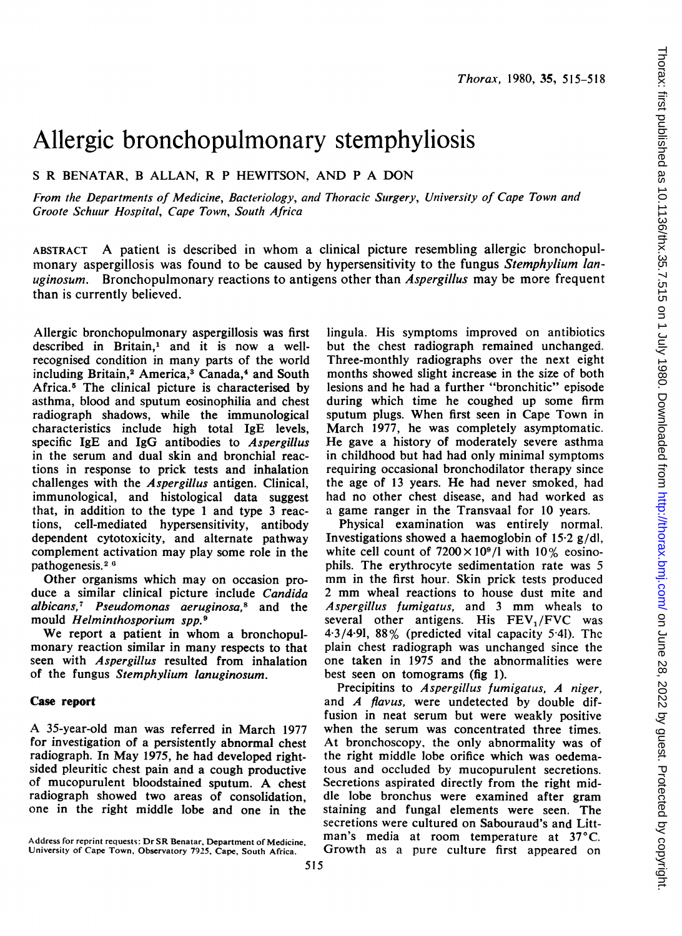# Allergic bronchopulmonary stemphyliosis

<sup>S</sup> R BENATAR, B ALLAN, R P HEWITSON, AND P A DON

From the Departments of Medicine, Bacteriology, and Thoracic Sutrgery, University of Cape Town and Groote Schuur Hospital, Cape Town, South Africa

ABSTRACT A patient is described in whom <sup>a</sup> clinical picture resembling allergic bronchopulmonary aspergillosis was found to be caused by hypersensitivity to the fungus Stemphylium lanuginosum. Bronchopulmonary reactions to antigens other than *Aspergillus* may be more frequent than is currently believed.

Allergic bronchopulmonary aspergillosis was first described in Britain,' and it is now a wellrecognised condition in many parts of the world including Britain,<sup>2</sup> America,<sup>3</sup> Canada,<sup>4</sup> and South Africa.5 The clinical picture is characterised by asthma, blood and sputum eosinophilia and chest radiograph shadows, while the immunological characteristics include high total IgE levels, specific IgE and IgG antibodies to Aspergillus in the serum and dual skin and bronchial reactions in response to prick tests and inhalation challenges with the Aspergillus antigen. Clinical, immunological, and histological data suggest that, in addition to the type <sup>1</sup> and type 3 reactions, cell-mediated hypersensitivity, antibody dependent cytotoxicity, and altemate pathway complement activation may play some role in the pathogenesis. <sup>2</sup> <sup>6</sup>

Other organisms which may on occasion produce a similar clinical picture include Candida albicans,<sup>7</sup> Pseudomonas aeruginosa,<sup>8</sup> and the mould Helminthosporium spp.9

We report <sup>a</sup> patient in whom <sup>a</sup> bronchopulmonary reaction similar in many respects to that seen with Aspergillus resulted from inhalation of the fungus Stemphylium lanuginosum.

#### Case report

A 35-year-old man was referred in March <sup>1977</sup> for investigation of a persistently abnormal chest radiograph. In May 1975, he had developed rightsided pleuritic chest pain and a cough productive of mucopurulent bloodstained sputum. A chest radiograph showed two areas of consolidation, one in the right middle lobe and one in the

lingula. His symptoms improved on antibiotics but the chest radiograph remained unchanged. Three-monthly radiographs over the next eight months showed slight increase in the size of both lesions and he had a further "bronchitic" episode during which time he coughed up some firm sputum plugs. When first seen in Cape Town in March 1977, he was completely asymptomatic. He gave a history of moderately severe asthma in childhood but had had only minimal symptoms requiring occasional bronchodilator therapy since the age of <sup>13</sup> years. He had never smoked, had had no other chest disease, and had worked as a game ranger in the Transvaal for 10 years.

Physical examination was entirely normal. Investigations showed a haemoglobin of 15-2 g/dl, white cell count of  $7200 \times 10^9$ /l with  $10\%$  eosinophils. The erythrocyte sedimentation rate was 5 mm in the first hour. Skin prick tests produced <sup>2</sup> mm wheal reactions to house dust mite and Aspergillus fumigatus, and <sup>3</sup> mm wheals to several other antigens. His FEV,/FVC was  $4.3/4.91$ ,  $88\%$  (predicted vital capacity  $5.41$ ). The plain chest radiograph was unchanged since the one taken in 1975 and the abnormalities were best seen on tomograms (fig 1).

Precipitins to Aspergillus fumigatus, A niger, and A flavus, were undetected by double diffusion in neat serum but were weakly positive when the serum was concentrated three times. At bronchoscopy, the only abnormality was of the right middle lobe orifice which was oedematous and occluded by mucopurulent secretions. Secretions aspirated directly from the right middle lobe bronchus were examined after gram staining and fungal elements were seen. The secretions were cultured on Sabouraud's and Littman's media at room temperature at 37°C. Growth as a pure culture first appeared on

Address for reprint requests: Dr SR Benatar, Department of Medicine, University of Cape Town, Observatory 7925, Cape, South Africa.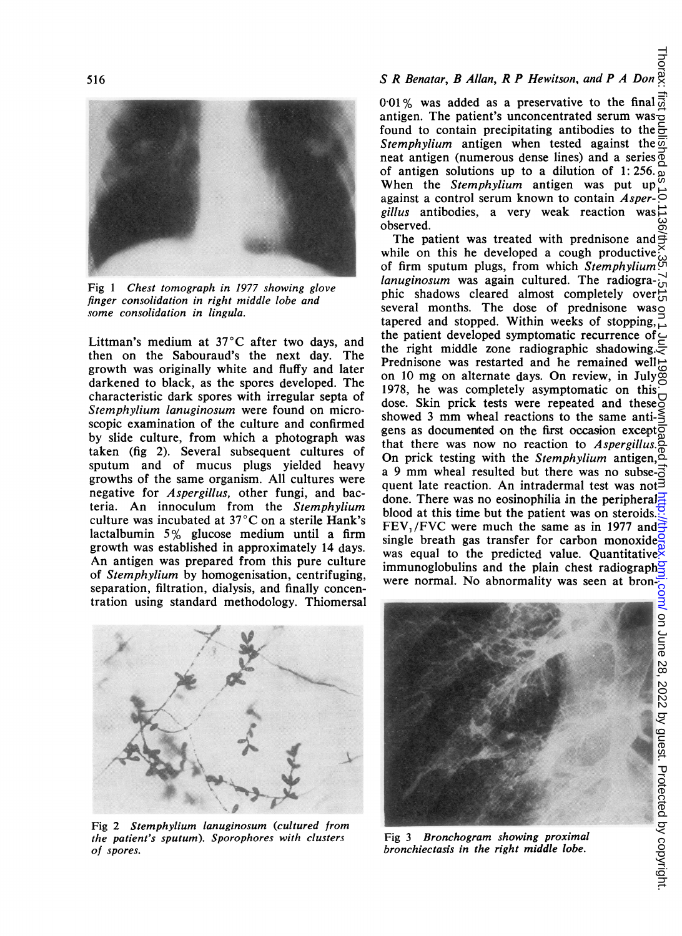# S<br>S R Benatar, B Allan, R P Hewitson, and P A Don  $\stackrel{\text{S}}{\text{S}}$



Fig <sup>1</sup> Chest tomograph in 1977 showing glove finger consolidation in right middle lobe and some consolidation in lingula.

Littman's medium at 37°C after two days, and then on the Sabouraud's the next day. The growth was originally white and fluffy and later darkened to black, as the spores developed. The characteristic dark spores with irregular septa of Stemphylium lanuginosum were found on microscopic examination of the culture and confirmed by slide culture, from which a photograph was taken (fig 2). Several subsequent cultures of sputum and of mucus plugs yielded heavy growths of the same organism. All cultures were negative for Aspergillus, other fungi, and bacteria. An innoculum from the Stemphylium culture was incubated at  $37^{\circ}$ C on a sterile Hank's lactalbumin  $5\%$  glucose medium until a firm growth was established in approximately 14 days. An antigen was prepared from this pure culture of Stemphylium by homogenisation, centrifuging, separation, filtration, dialysis, and finally concentration using standard methodology. Thiomersal 0.01% was added as a preservative to the final  $\frac{1}{\omega}$ antigen. The patient's unconcentrated serum was $\overline{\sigma}$ found to contain precipitating antibodies to the  $\frac{1}{2}$ Stemphylium antigen when tested against the  $\overline{\omega}$ neat antigen (numerous dense lines) and a series of antigen solutions up to a dilution of 1: 256. When the Stemphylium antigen was put up against a control serum known to contain  $Asper$ gillus antibodies, a very weak reaction was  $\vec{=}$ observed.

The patient was treated with prednisone and  $\pm$ while on this he developed a cough productive of firm sputum plugs, from which Stemphylium lanuginosum was again cultured. The radiographic shadows cleared almost completely over  $\ddot{c}$ several months. The dose of prednisone was tapered and stopped. Within weeks of stopping, the patient developed symptomatic recurrence of $\subset$ the right middle zone radiographic shadowing. Prednisone was restarted and he remained well  $\frac{1}{\infty}$ on <sup>10</sup> mg on alternate days. On review, in July 1978, he was completely asymptomatic on this dose. Skin prick tests were repeated and these<sup>O</sup> showed 3 mm wheal reactions to the same anti- $\leq$ gens as documented on the first occasion except that there was now no reaction to  $Aspergillus$ . On prick testing with the *Stemphylium* antigen, $\tilde{\varphi}$ a 9 mm wheal resulted but there was no subse- $\vec{5}$ quent late reaction. An intradermal test was not $\bar{3}$ done. There was no eosinophilia in the peripheral blood at this time but the patient was on steroids. FEV, /FVC were much the same as in <sup>1977</sup> and single breath gas transfer for carbon monoxide was equal to the predicted value. Quantitative immunoglobulins and the plain chest radiograph were normal. No abnormality was seen at bronon June 28, 2022 by guest. Protected by copyright. <http://thorax.bmj.com/> Thorax: first published as 10.1136/thx.35.7.515 on 1 July 1980. Downloaded from



Fig 2 Stemphylium lanuginosum (cultured from the patient's sputum). Sporophores with clusters of spores.



Fig <sup>3</sup> Bronchogram showing proximal bronchiectasis in the right middle lobe.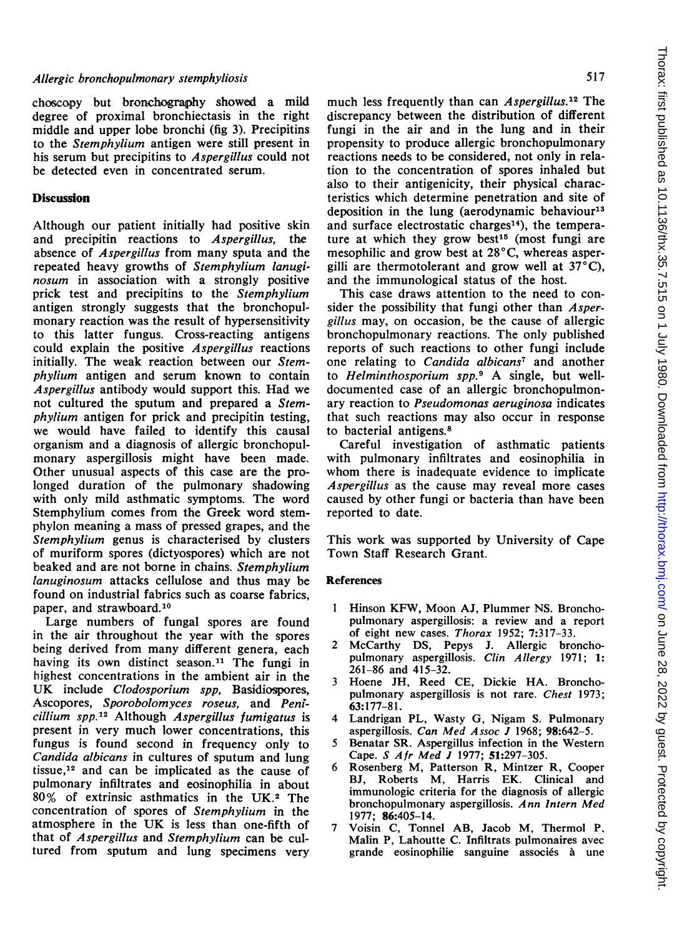## Allergic bronchopulmonary stemphyliosis

choscopy but bronchography showed a mild degree of proximal bronchiectasis in the right middle and upper lobe bronchi (fig 3). Precipitins to the Stemphylium antigen were still present in his serum but precipitins to Aspergillus could not be detected even in concentrated serum.

### Discussion

Although our patient initially had positive skin and precipitin reactions to Aspergillus, the absence of Aspergillus from many sputa and the repeated heavy growths of Stemphylium lanuginosum in association with a strongly positive prick test and precipitins to the Stemphylium antigen strongly suggests that the bronchopulmonary reaction was the result of hypersensitivity to this latter fungus. Cross-reacting antigens could explain the positive Aspergillus reactions initially. The weak reaction between our Stemphylium antigen and serum known to contain Aspergillus antibody would support this. Had we not cultured the sputum and prepared a Stemphylium antigen for prick and precipitin testing, we would have failed to identify this causal organism and a diagnosis of allergic bronchopulmonary aspergillosis might have been made. Other unusual aspects of this case are the prolonged duration of the pulmonary shadowing with only mild asthmatic symptoms. The word Stemphylium comes from the Greek word stemphylon meaning a mass of pressed grapes, and the Stemphylium genus is characterised by clusters of muriform spores (dictyospores) which are not beaked and are not borne in chains. Stemphylium lanuginosum attacks cellulose and thus may be found on industrial fabrics such as coarse fabrics, paper, and strawboard.<sup>10</sup>

Large numbers of fungal spores are found in the air throughout the year with the spores being derived from many different genera, each having its own distinct season.<sup>11</sup> The fungi in highest concentrations in the ambient air in the UK include Clodosporium spp, Basidiospores, Ascopores, Sporobolomyces roseus, and Penicillium Spp.12 Although Aspergillus fumigatus is present in very much lower concentrations, this fungus is found second in frequency only to Candida albicans in cultures of sputum and lung tissue,<sup>12</sup> and can be implicated as the cause of pulmonary infiltrates and eosinophilia in about 80% of extrinsic asthmatics in the UK.2 The concentration of spores of Stemphylium in the atmosphere in the UK is less than one-fifth of that of Aspergillus and Stemphylium can be cultured from sputum and lung specimens very

much less frequently than can *Aspergillus*.<sup>12</sup> The discrepancy between the distribution of different fungi in the air and in the lung and in their propensity to produce allergic bronchopulmonary reactions needs to be considered, not only in relation to the concentration of spores inhaled but also to their antigenicity, their physical characteristics which determine penetration and site of deposition in the lung (aerodynamic behaviour<sup>13</sup> and surface electrostatic charges<sup>14</sup>), the temperature at which they grow best<sup>15</sup> (most fungi are mesophilic and grow best at  $28^{\circ}$ C, whereas aspergilli are thermotolerant and grow well at  $37^{\circ}$ C), and the immunological status of the host.

This case draws attention to the need to consider the possibility that fungi other than Aspergillus may, on occasion, be the cause of allergic bronchopulmonary reactions. The only published reports of such reactions to other fungi include one relating to *Candida albicans<sup>7</sup>* and another to Helminthosporium spp.<sup>9</sup> A single, but welldocumented case of an allergic bronchopulmonary reaction to Pseudomonas aeruginosa indicates that such reactions may also occur in response to bacterial antigens.8

Careful investigation of asthmatic patients with pulmonary infiltrates and eosinophilia in whom there is inadequate evidence to implicate Aspergillus as the cause may reveal more cases caused by other fungi or bacteria than have been reported to date.

This work was supported by University of Cape Town Staff Research Grant.

#### References

- <sup>1</sup> Hinson KFW, Moon AJ, Plummer NS. Bronchopulmonary aspergillosis: a review and a report of eight new cases. Thorax 1952; 7:317-33.
- 2 McCarthy DS, Pepys J. Allergic bronchopulmonary aspergillosis. Clin Allergy 1971; 1: 261-86 and 415-32.
- <sup>3</sup> Hoene JH, Reed CE, Dickie HA. Bronchopulmonary aspergillosis is not rare. Chest 1973; 63:177-81.
- 4 Landrigan PL, Wasty G, Nigam S. Pulmonary aspergillosis. Can Med Assoc J 1968; 98:642-5.
- 5 Benatar SR. Aspergillus infection in the Western Cape. S Afr Med <sup>J</sup> 1977; 51:297-305.
- 6 Rosenberg M, Patterson R, Mintzer R, Cooper BJ, Roberts M, Harris EK. Clinical and immunologic criteria for the diagnosis of allergic bronchopulmonary aspergillosis. Ann Intern Med 1977; 86:405-14.
- 7 Voisin C, Tonnel AB, Jacob M, Thermol P, Malin P, Lahoutte C. Infiltrats pulmonaires avec grande eosinophilie sanguine associés à une